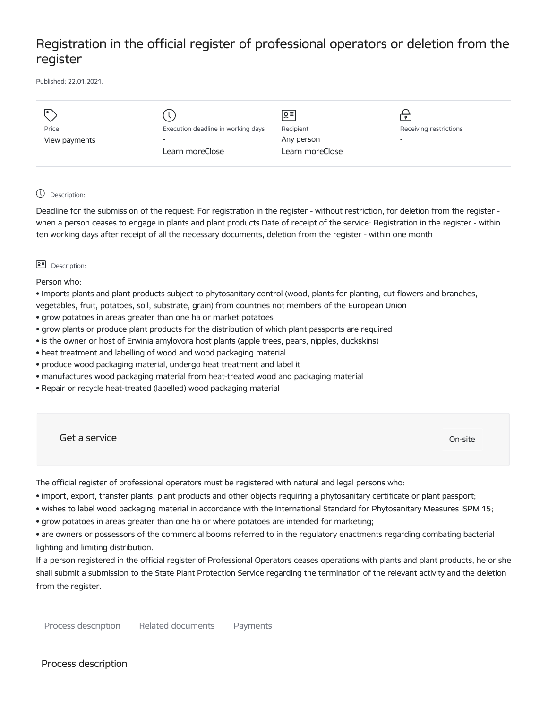# Registration in the official register of professional operators or deletion from the register

Published: 22.01.2021.

|               |                                    | ু≣              |                          |
|---------------|------------------------------------|-----------------|--------------------------|
| Price         | Execution deadline in working days | Recipient       | Receiving restrictions   |
| View payments | $\overline{\phantom{0}}$           | Any person      | $\overline{\phantom{a}}$ |
|               | Learn moreClose                    | Learn moreClose |                          |
|               |                                    |                 |                          |

# Description:

Deadline for the submission of the request: For registration in the register - without restriction, for deletion from the register when a person ceases to engage in plants and plant products Date of receipt of the service: Registration in the register - within ten working days after receipt of all the necessary documents, deletion from the register - within one month

#### **Q<sup></sup> Description:**

Person who:

• Imports plants and plant products subject to phytosanitary control (wood, plants for planting, cut flowers and branches, vegetables, fruit, potatoes, soil, substrate, grain) from countries not members of the European Union

- grow potatoes in areas greater than one ha or market potatoes
- grow plants or produce plant products for the distribution of which plant passports are required
- is the owner or host of Erwinia amylovora host plants (apple trees, pears, nipples, duckskins)
- heat treatment and labelling of wood and wood packaging material
- produce wood packaging material, undergo heat treatment and label it
- manufactures wood packaging material from heat-treated wood and packaging material
- Repair or recycle heat-treated (labelled) wood packaging material

Get a service only a service of the contract of the contract of the contract of the contract of the contract of the contract of the contract of the contract of the contract of the contract of the contract of the contract o

The official register of professional operators must be registered with natural and legal persons who:

- import, export, transfer plants, plant products and other objects requiring a phytosanitary certificate or plant passport;
- wishes to label wood packaging material in accordance with the International Standard for Phytosanitary Measures ISPM 15;
- grow potatoes in areas greater than one ha or where potatoes are intended for marketing;
- are owners or possessors of the commercial booms referred to in the regulatory enactments regarding combating bacterial lighting and limiting distribution.

If a person registered in the official register of Professional Operators ceases operations with plants and plant products, he or she shall submit a submission to the State Plant Protection Service regarding the termination of the relevant activity and the deletion from the register.

Process description Related documents Payments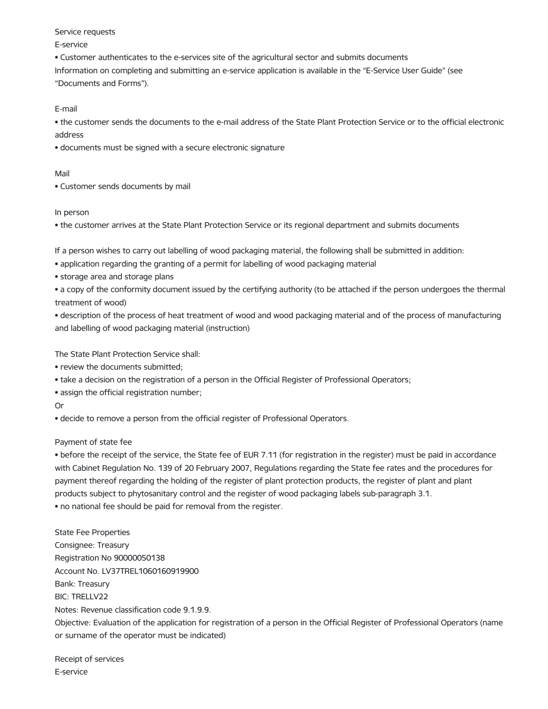#### Service requests

#### E-service

• Customer authenticates to the e-services site of the agricultural sector and submits documents Information on completing and submitting an e-service application is available in the "E-Service User Guide" (see "Documents and Forms").

E-mail

• the customer sends the documents to the e-mail address of the State Plant Protection Service or to the official electronic address

• documents must be signed with a secure electronic signature

### Mail

• Customer sends documents by mail

# In person

• the customer arrives at the State Plant Protection Service or its regional department and submits documents

If a person wishes to carry out labelling of wood packaging material, the following shall be submitted in addition:

• application regarding the granting of a permit for labelling of wood packaging material

• storage area and storage plans

• a copy of the conformity document issued by the certifying authority (to be attached if the person undergoes the thermal treatment of wood)

• description of the process of heat treatment of wood and wood packaging material and of the process of manufacturing and labelling of wood packaging material (instruction)

The State Plant Protection Service shall:

• review the documents submitted;

• take a decision on the registration of a person in the Official Register of Professional Operators;

• assign the official registration number;

Or

• decide to remove a person from the official register of Professional Operators.

# Payment of state fee

• before the receipt of the service, the State fee of EUR 7.11 (for registration in the register) must be paid in accordance with Cabinet Regulation No. 139 of 20 February 2007, Regulations regarding the State fee rates and the procedures for payment thereof regarding the holding of the register of plant protection products, the register of plant and plant products subject to phytosanitary control and the register of wood packaging labels sub-paragraph 3.1. • no national fee should be paid for removal from the register.

State Fee Properties Consignee: Treasury Registration No 90000050138 Account No. LV37TREL1060160919900 Bank: Treasury BIC: TRELLV22 Notes: Revenue classification code 9.1.9.9. Objective: Evaluation of the application for registration of a person in the Official Register of Professional Operators (name or surname of the operator must be indicated)

Receipt of services E-service